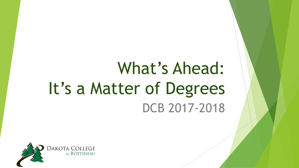# What's Ahead: It's a Matter of Degrees DCB 2017-2018

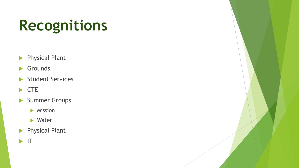# **Recognitions**

- **Physical Plant**
- Grounds
- Student Services
- $\blacktriangleright$  CTE
- Summer Groups
	- **Mission**
	- Water
- **Physical Plant**
- $\blacktriangleright$  IT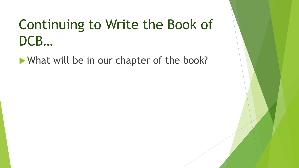# Continuing to Write the Book of DCB…

What will be in our chapter of the book?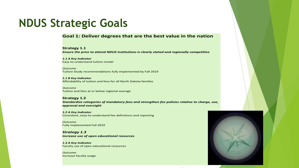#### **Goal 1: Deliver degrees that are the best value in the nation**

**Strategy 1.1** 

*Ensure the price to attend NDUS institutions is clearly stated and regionally competitive* 

*1.1 A Key Indicator*  Easy-to-understand tuition model

*Outcome*  Tuition Study recommendations fully implemented by Fall 2019

*1.1 B Key Indicator*  Affordability of tuition and fees for all North Dakota families

*Outcome*  Tuition and fees at or below regional average

**Strategy 1.2**  *Standardize categories of mandatory fees and strengthen fee policies relative to charge, use, approval and oversight* 

*1.2 A Key Indicator*  Consistent, easy-to-understand fee definitions and reporting

*Outcome*  Fully implemented Fall 2019

*Strategy 1.3 Increase use of open educational resources* 

*1.3 A Key Indicator*  Faculty use of open educational resources

*Outcome* Increase faculty usage

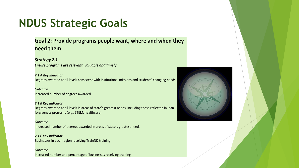**Goal 2: Provide programs people want, where and when they need them** 

*Strategy 2.1* 

*Ensure programs are relevant, valuable and timely*

*2.1 A Key Indicator* 

Degrees awarded at all levels consistent with institutional missions and students' changing needs

*Outcome*  Increased number of degrees awarded

*2.1 B Key Indicator*  Degrees awarded at all levels in areas of state's greatest needs, including those reflected in loan forgiveness programs (e.g., STEM, healthcare)

*Outcome* Increased number of degrees awarded in areas of state's greatest needs

*2.1 C Key Indicator*  Businesses in each region receiving TrainND training

*Outcome*  Increased number and percentage of businesses receiving training

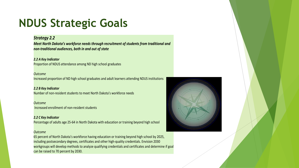#### *Strategy 2.2*

*Meet North Dakota's workforce needs through recruitment of students from traditional and non-traditional audiences, both in and out of state*

#### *2.2 A Key Indicator*

Proportion of NDUS attendance among ND high school graduates

#### *Outcome*

Increased proportion of ND high school graduates and adult learners attending NDUS institutions

#### *2.2 B Key Indicator*

Number of non-resident students to meet North Dakota's workforce needs

#### *Outcome*

Increased enrollment of non-resident students

#### *2.2 C Key Indicator*  Percentage of adults age 25-64 in North Dakota with education or training beyond high school

#### *Outcome*

65 percent of North Dakota's workforce having education or training beyond high school by 2025, including postsecondary degrees, certificates and other high-quality credentials. Envision 2030 workgroups will develop methods to analyze qualifying credentials and certificates and determine if goal can be raised to 70 percent by 2030.

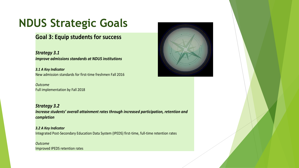#### **Goal 3: Equip students for success**

*Strategy 3.1 Improve admissions standards at NDUS institutions* 

*3.1 A Key Indicator*  New admission standards for first-time freshmen Fall 2016

*Outcome*  Full implementation by Fall 2018

*Strategy 3.2 Increase students' overall attainment rates through increased participation, retention and completion* 

*3.2 A Key Indicator*  Integrated Post-Secondary Education Data System (IPEDS) first-time, full-time retention rates

*Outcome*  Improved IPEDS retention rates

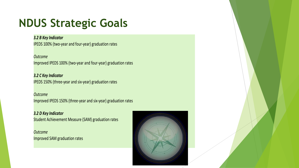#### *3.2 B Key Indicator*

IPEDS 100% (two-year and four-year) graduation rates

*Outcome*  Improved IPEDS 100% (two-year and four-year) graduation rates

*3.2 C Key Indicator*  IPEDS 150% (three-year and six-year) graduation rates

*Outcome*  Improved IPEDS 150% (three-year and six-year) graduation rates

*3.2 D Key Indicator* Student Achievement Measure (SAM) graduation rates

*Outcome* Improved SAM graduation rates

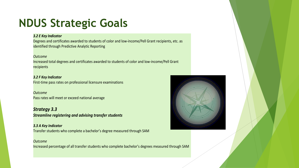#### *3.2 E Key Indicator*

Degrees and certificates awarded to students of color and low-income/Pell Grant recipients, etc. as identified through Predictive Analytic Reporting

#### *Outcome*

Increased total degrees and certificates awarded to students of color and low-income/Pell Grant recipients

*3.2 F Key Indicator*  First-time pass rates on professional licensure examinations

*Outcome*  Pass rates will meet or exceed national average

*Strategy 3.3 Streamline registering and advising transfer students* 

#### *3.3 A Key Indicator*

Transfer students who complete a bachelor's degree measured through SAM

#### *Outcome*

Increased percentage of all transfer students who complete bachelor's degrees measured through SAM

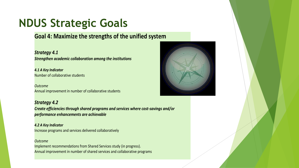**Goal 4: Maximize the strengths of the unified system** 

*Strategy 4.1 Strengthen academic collaboration among the institutions* 

*4.1 A Key Indicator*  Number of collaborative students

*Outcome*  Annual improvement in number of collaborative students

*Strategy 4.2 Create efficiencies through shared programs and services where cost-savings and/or performance enhancements are achievable* 

*4.2 A Key Indicator*  Increase programs and services delivered collaboratively

#### *Outcome*

Implement recommendations from Shared Services study (in progress). Annual improvement in number of shared services and collaborative programs

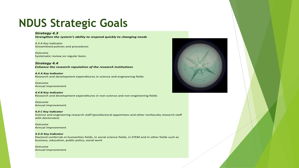#### *Strategy 4.3*

*Strengthen the system's ability to respond quickly to changing needs* 

*4.3 A Key Indicator*  Streamlined policies and procedures

*Outcome*  Systematic review on regular basis.

*Strategy 4.4 Enhance the research reputation of the research institutions* 

*4.4 A Key Indicator*  Research and development expenditures in science and engineering fields

*Outcome*  Annual improvement

*4.4 B Key Indicator*  Research and development expenditures in non-science and non-engineering fields

*Outcome*  Annual improvement

*4.4 C Key Indicator*  Science and engineering research staff (postdoctoral appointees and other nonfaculty research staff with doctorates)

*Outcome*  Annual improvement

#### *4.4 D Key Indicator*

Doctoral conferrals in humanities fields, in social science fields, in STEM and in other fields such as business, education, public policy, social work

*Outcome*  Annual improvement

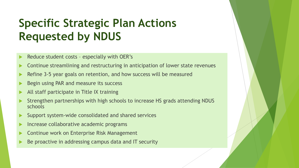### **Specific Strategic Plan Actions Requested by NDUS**

- Reduce student costs especially with OER's
- **Continue streamlining and restructuring in anticipation of lower state revenues**
- Refine 3-5 year goals on retention, and how success will be measured
- Begin using PAR and measure its success
- All staff participate in Title IX training
- Strengthen partnerships with high schools to increase HS grads attending NDUS schools
- Support system-wide consolidated and shared services
- Increase collaborative academic programs
- Continue work on Enterprise Risk Management
- Be proactive in addressing campus data and IT security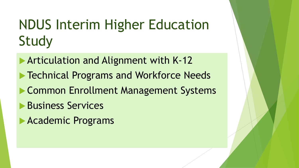# NDUS Interim Higher Education Study

**Articulation and Alignment with K-12 Technical Programs and Workforce Needs Common Enrollment Management Systems Business Services Academic Programs**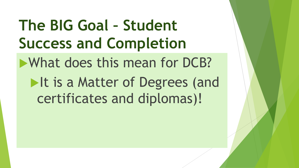What does this mean for DCB? **The BIG Goal – Student Success and Completion**  It is a Matter of Degrees (and certificates and diplomas)!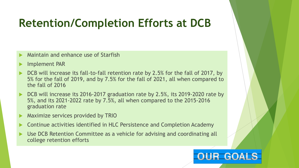### **Retention/Completion Efforts at DCB**

- Maintain and enhance use of Starfish
- Implement PAR
- ▶ DCB will increase its fall-to-fall retention rate by 2.5% for the fall of 2017, by 5% for the fall of 2019, and by 7.5% for the fall of 2021, all when compared to the fall of 2016
- 5%, and its 2021-2022 rate by 7.5%, all when compared to the 2015-2016 DCB will increase its 2016-2017 graduation rate by 2.5%, its 2019-2020 rate by graduation rate
- $\triangleright$  Maximize services provided by TRIO
- Continue activities identified in HLC Persistence and Completion Academy
- Use DCB Retention Committee as a vehicle for advising and coordinating all college retention efforts

### RTGl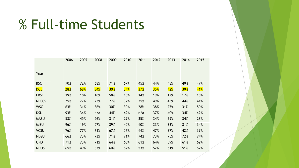## % Full-time Students

|              | 2006 | 2007 | 2008       | 2009       | 2010 | 2011       | 2012       | 2013 | 2014       | 2015 |
|--------------|------|------|------------|------------|------|------------|------------|------|------------|------|
| Year         |      |      |            |            |      |            |            |      |            |      |
| <b>BSC</b>   | 70%  | 72%  | 68%        | 71%        | 67%  | 45%        | 44%        | 48%  | 49%        | 47%  |
| <b>DCB</b>   | 28%  | 68%  | <b>34%</b> | <b>30%</b> | 34%  | <b>37%</b> | <b>35%</b> | 42%  | <b>39%</b> | 41%  |
| <b>LRSC</b>  | 19%  | 18%  | 18%        | 58%        | 18%  | 14%        | 19%        | 17%  | 17%        | 18%  |
| <b>NDSCS</b> | 75%  | 27%  | 73%        | 77%        | 32%  | 75%        | 49%        | 43%  | 44%        | 41%  |
| <b>WSC</b>   | 63%  | 31%  | 36%        | 30%        | 30%  | 28%        | 38%        | 27%  | 31%        | 50%  |
| <b>DSU</b>   | 93%  | 34%  | n/a        | 44%        | 49%  | n/a        | 37%        | 40%  | 34%        | 42%  |
| <b>MASU</b>  | 53%  | 45%  | 56%        | 31%        | 29%  | 35%        | 34%        | 29%  | 34%        | 28%  |
| <b>MISU</b>  | 96%  | 19%  | 57%        | 39%        | 40%  | 40%        | 33%        | 33%  | 31%        | 34%  |
| <b>VCSU</b>  | 76%  | 77%  | 71%        | 67%        | 57%  | 44%        | 47%        | 37%  | 42%        | 39%  |
| <b>NDSU</b>  | 66%  | 73%  | 73%        | 71%        | 71%  | 74%        | 73%        | 75%  | 72%        | 74%  |
| <b>UND</b>   | 71%  | 73%  | 71%        | 64%        | 63%  | 61%        | 64%        | 59%  | 61%        | 62%  |
| <b>NDUS</b>  | 65%  | 49%  | 67%        | 60%        | 52%  | 53%        | 52%        | 51%  | 51%        | 52%  |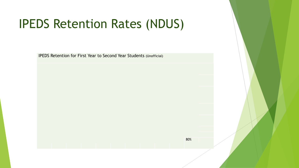## IPEDS Retention Rates (NDUS)

IPEDS Retention for First Year to Second Year Students (Unofficial)

 $80\%$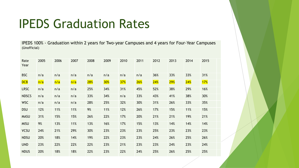## IPEDS Graduation Rates

IPEDS 100% - Graduation within 2 years for Two-year Campuses and 4 years for Four-Year Campuses (Unofficial)

| Rate<br>Year | 2005 | 2006 | 2007 | 2008       | 2009       | 2010       | 2011       | 2012       | 2013       | 2014 | 2015 |
|--------------|------|------|------|------------|------------|------------|------------|------------|------------|------|------|
| <b>BSC</b>   | n/a  | n/a  | n/a  | n/a        | n/a        | n/a        | n/a        | 36%        | 33%        | 33%  | 31%  |
| DCB          | n/a  | n/a  | n/a  | <b>28%</b> | <b>30%</b> | <b>37%</b> | <b>26%</b> | <b>24%</b> | <b>29%</b> | 24%  | 17%  |
| <b>LRSC</b>  | n/a  | n/a  | n/a  | 25%        | 34%        | 31%        | 45%        | 52%        | 38%        | 29%  | 16%  |
| <b>NDSCS</b> | n/a  | n/a  | n/a  | 33%        | 34%        | n/a        | 33%        | 43%        | 41%        | 38%  | 30%  |
| <b>WSC</b>   | n/a  | n/a  | n/a  | 28%        | 25%        | 32%        | 30%        | 31%        | 26%        | 33%  | 35%  |
| <b>DSU</b>   | 12%  | 11%  | 11%  | 9%         | 11%        | 12%        | 26%        | 17%        | 15%        | 11%  | 15%  |
| <b>MASU</b>  | 31%  | 15%  | 15%  | 26%        | 22%        | 17%        | 20%        | 21%        | 21%        | 19%  | 21%  |
| <b>MISU</b>  | 9%   | 13%  | 11%  | 13%        | 16%        | 17%        | 15%        | 13%        | 14%        | 14%  | 14%  |
| <b>VCSU</b>  | 24%  | 21%  | 29%  | 30%        | 23%        | 23%        | 23%        | 25%        | 23%        | 23%  | 23%  |
| <b>NDSU</b>  | 20%  | 18%  | 14%  | 19%        | 22%        | 23%        | 23%        | 24%        | 26%        | 25%  | 26%  |
| <b>UND</b>   | 23%  | 22%  | 22%  | 22%        | 23%        | 21%        | 23%        | 23%        | 24%        | 23%  | 24%  |
| <b>NDUS</b>  | 20%  | 18%  | 18%  | 22%        | 23%        | 22%        | 24%        | 25%        | 26%        | 25%  | 25%  |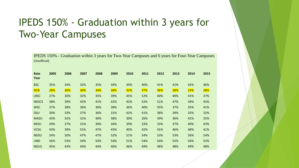### IPEDS 150% - Graduation within 3 years for Two-Year Campuses

 IPEDS 150% - Graduation within 3 years for Two-Year Campuses and 6 years for Four-Year Campuses (Unofficial) **Rate 2005 2006 2007 2008 2009 2010 2011 2012 2013 2014 2015 Year**  BSC 35% 34% 32% 35% 34% 39% 40% 41% 41% 42% 46% DCB 28% 30% 30% 34% 38% 32% 37% 36% 28% 24% 28% LRSC 27% 30% 32% 35% 39% 45% 52% 40% 40% 41% 37% NDSCS 38% 39% 42% 41% 42% 42% 52% 51% 47% 39% 43% WSC 37% 38% 36% 30% 38% 36% 40% 35% 37% 35% 41% DSU 30% 33% 37% 36% 31% 42% 41% 38% 39% 35% 32% MASU 43% 32% 31% 40% 38% 30% 26% 39% 36% 42% 25% MISU 29% 27% 31% 30% 34% 39% 33% 33% 37% 40% 43% VCSU 43% 39% 51% 47% 43% 40% 42% 41% 46% 48% 41% NDSU 54% 50% 47% 47% 52% 51% 54% 53% 53% 56% UND 56% 53% 54% 54% 54% 51% 54% 54% 55% 56% NDUS 45% 43% 44% 44% 46% 46% 49% 48% 48% 54% 53% 49% 48%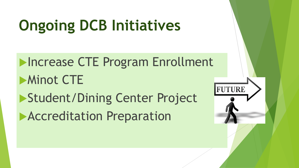# **Ongoing DCB Initiatives**

**Increase CTE Program Enrollment Minot CTE** Student/Dining Center Project **Accreditation Preparation** 

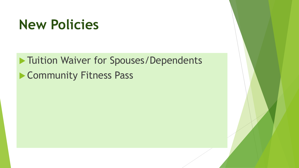## **New Policies**

**Tuition Waiver for Spouses/Dependents Community Fitness Pass**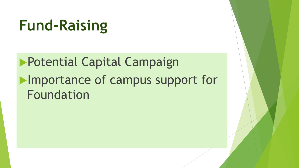# **Fund-Raising**

Potential Capital Campaign **Importance of campus support for** Foundation